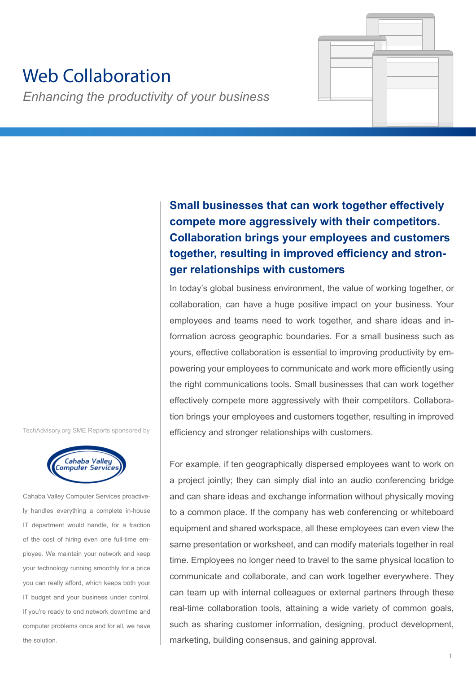# Web Collaboration

*Enhancing the productivity of your business*

**Small businesses that can work together effectively compete more aggressively with their competitors. Collaboration brings your employees and customers together, resulting in improved efficiency and stronger relationships with customers**

In today's global business environment, the value of working together, or collaboration, can have a huge positive impact on your business. Your employees and teams need to work together, and share ideas and information across geographic boundaries. For a small business such as yours, effective collaboration is essential to improving productivity by empowering your employees to communicate and work more efficiently using the right communications tools. Small businesses that can work together effectively compete more aggressively with their competitors. Collaboration brings your employees and customers together, resulting in improved efficiency and stronger relationships with customers.

For example, if ten geographically dispersed employees want to work on a project jointly; they can simply dial into an audio conferencing bridge and can share ideas and exchange information without physically moving to a common place. If the company has web conferencing or whiteboard equipment and shared workspace, all these employees can even view the same presentation or worksheet, and can modify materials together in real time. Employees no longer need to travel to the same physical location to communicate and collaborate, and can work together everywhere. They can team up with internal colleagues or external partners through these real-time collaboration tools, attaining a wide variety of common goals, such as sharing customer information, designing, product development, marketing, building consensus, and gaining approval.

TechAdvisory.org SME Reports sponsored by



Cahaba Valley Computer Services proactively handles everything a complete in-house IT department would handle, for a fraction of the cost of hiring even one full-time employee. We maintain your network and keep your technology running smoothly for a price you can really afford, which keeps both your IT budget and your business under control. If you're ready to end network downtime and computer problems once and for all, we have the solution.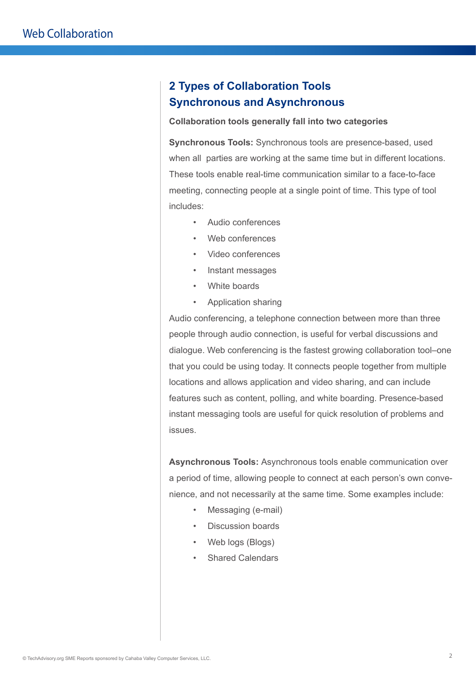## **2 Types of Collaboration Tools Synchronous and Asynchronous**

#### **Collaboration tools generally fall into two categories**

**Synchronous Tools:** Synchronous tools are presence-based, used when all parties are working at the same time but in different locations. These tools enable real-time communication similar to a face-to-face meeting, connecting people at a single point of time. This type of tool includes:

- Audio conferences
- Web conferences
- Video conferences
- Instant messages
- White boards
- Application sharing

Audio conferencing, a telephone connection between more than three people through audio connection, is useful for verbal discussions and dialogue. Web conferencing is the fastest growing collaboration tool–one that you could be using today. It connects people together from multiple locations and allows application and video sharing, and can include features such as content, polling, and white boarding. Presence-based instant messaging tools are useful for quick resolution of problems and issues.

**Asynchronous Tools:** Asynchronous tools enable communication over a period of time, allowing people to connect at each person's own convenience, and not necessarily at the same time. Some examples include:

- Messaging (e-mail)
- Discussion boards
- Web logs (Blogs)
- Shared Calendars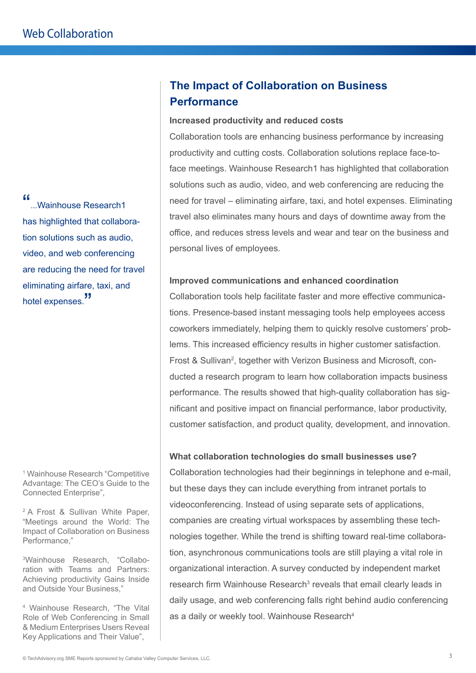"...<br>Wainhouse Research1... has highlighted that collaboration solutions such as audio, video, and web conferencing are reducing the need for travel eliminating airfare, taxi, and hotel expenses.<sup>"</sup>

1 Wainhouse Research "Competitive Advantage: The CEO's Guide to the Connected Enterprise",

2 A Frost & Sullivan White Paper, "Meetings around the World: The Impact of Collaboration on Business Performance,"

3 Wainhouse Research, "Collaboration with Teams and Partners: Achieving productivity Gains Inside and Outside Your Business,"

4 Wainhouse Research, "The Vital Role of Web Conferencing in Small & Medium Enterprises Users Reveal Key Applications and Their Value",

# **The Impact of Collaboration on Business Performance**

#### **Increased productivity and reduced costs**

Collaboration tools are enhancing business performance by increasing productivity and cutting costs. Collaboration solutions replace face-toface meetings. Wainhouse Research1 has highlighted that collaboration solutions such as audio, video, and web conferencing are reducing the need for travel – eliminating airfare, taxi, and hotel expenses. Eliminating travel also eliminates many hours and days of downtime away from the office, and reduces stress levels and wear and tear on the business and personal lives of employees.

#### **Improved communications and enhanced coordination**

Collaboration tools help facilitate faster and more effective communications. Presence-based instant messaging tools help employees access coworkers immediately, helping them to quickly resolve customers' problems. This increased efficiency results in higher customer satisfaction. Frost & Sullivan<sup>2</sup>, together with Verizon Business and Microsoft, conducted a research program to learn how collaboration impacts business performance. The results showed that high-quality collaboration has significant and positive impact on financial performance, labor productivity, customer satisfaction, and product quality, development, and innovation.

#### **What collaboration technologies do small businesses use?**

Collaboration technologies had their beginnings in telephone and e-mail, but these days they can include everything from intranet portals to videoconferencing. Instead of using separate sets of applications, companies are creating virtual workspaces by assembling these technologies together. While the trend is shifting toward real-time collaboration, asynchronous communications tools are still playing a vital role in organizational interaction. A survey conducted by independent market research firm Wainhouse Research<sup>3</sup> reveals that email clearly leads in daily usage, and web conferencing falls right behind audio conferencing as a daily or weekly tool. Wainhouse Research<sup>4</sup>